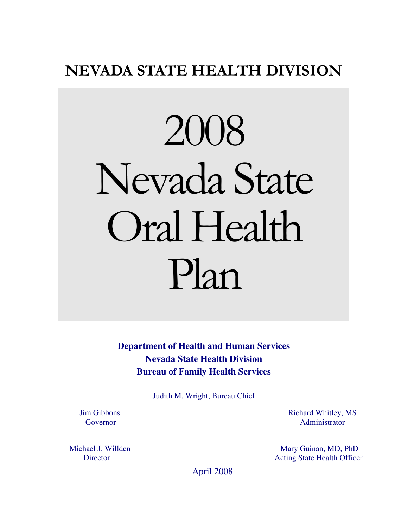# NEVADA STATE HEALTH DIVISION

# 2008 Nevada State Oral Health Plan

**Department of Health and Human Services Nevada State Health Division Bureau of Family Health Services** 

Judith M. Wright, Bureau Chief

 Jim Gibbons Governor

 Michael J. Willden **Director** 

Richard Whitley, MS Administrator

 Mary Guinan, MD, PhD Acting State Health Officer

April 2008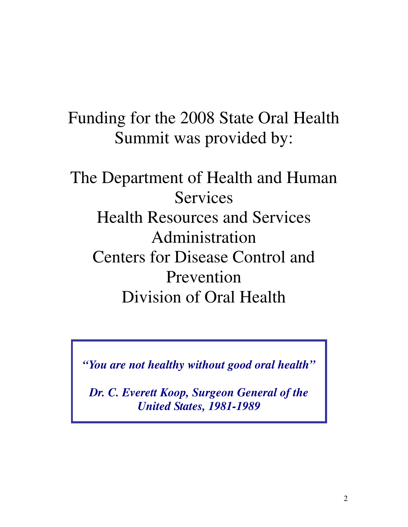# Funding for the 2008 State Oral Health Summit was provided by:

# The Department of Health and Human Services Health Resources and Services Administration Centers for Disease Control and Prevention Division of Oral Health

*"You are not healthy without good oral health"* 

*Dr. C. Everett Koop, Surgeon General of the United States, 1981-1989*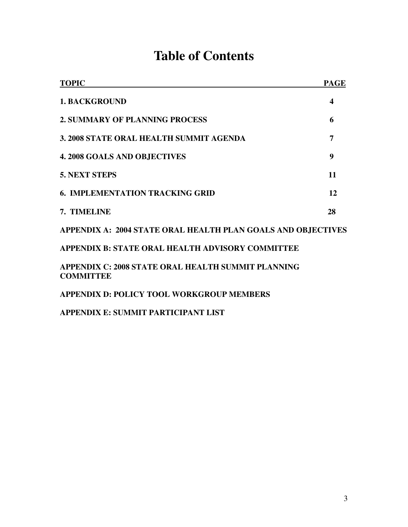# **Table of Contents**

| <b>TOPIC</b>                                                           | <b>PAGE</b>      |
|------------------------------------------------------------------------|------------------|
| <b>1. BACKGROUND</b>                                                   | $\boldsymbol{4}$ |
| <b>2. SUMMARY OF PLANNING PROCESS</b>                                  | 6                |
| 3. 2008 STATE ORAL HEALTH SUMMIT AGENDA                                | 7                |
| <b>4. 2008 GOALS AND OBJECTIVES</b>                                    | 9                |
| <b>5. NEXT STEPS</b>                                                   | 11               |
| <b>6. IMPLEMENTATION TRACKING GRID</b>                                 | 12               |
| 7. TIMELINE                                                            | 28               |
| APPENDIX A: 2004 STATE ORAL HEALTH PLAN GOALS AND OBJECTIVES           |                  |
| APPENDIX B: STATE ORAL HEALTH ADVISORY COMMITTEE                       |                  |
| APPENDIX C: 2008 STATE ORAL HEALTH SUMMIT PLANNING<br><b>COMMITTEE</b> |                  |
| <b>APPENDIX D: POLICY TOOL WORKGROUP MEMBERS</b>                       |                  |

**APPENDIX E: SUMMIT PARTICIPANT LIST**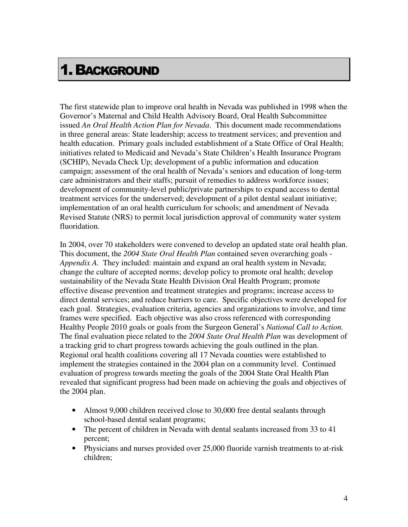# 1.BACKGROUND

The first statewide plan to improve oral health in Nevada was published in 1998 when the Governor's Maternal and Child Health Advisory Board, Oral Health Subcommittee issued *An Oral Health Action Plan for Nevada*. This document made recommendations in three general areas: State leadership; access to treatment services; and prevention and health education. Primary goals included establishment of a State Office of Oral Health; initiatives related to Medicaid and Nevada's State Children's Health Insurance Program (SCHIP), Nevada Check Up; development of a public information and education campaign; assessment of the oral health of Nevada's seniors and education of long-term care administrators and their staffs; pursuit of remedies to address workforce issues; development of community-level public/private partnerships to expand access to dental treatment services for the underserved; development of a pilot dental sealant initiative; implementation of an oral health curriculum for schools; and amendment of Nevada Revised Statute (NRS) to permit local jurisdiction approval of community water system fluoridation.

In 2004, over 70 stakeholders were convened to develop an updated state oral health plan. This document, the *2004 State Oral Health Plan* contained seven overarching goals - *Appendix A.* They included: maintain and expand an oral health system in Nevada; change the culture of accepted norms; develop policy to promote oral health; develop sustainability of the Nevada State Health Division Oral Health Program; promote effective disease prevention and treatment strategies and programs; increase access to direct dental services; and reduce barriers to care. Specific objectives were developed for each goal. Strategies, evaluation criteria, agencies and organizations to involve, and time frames were specified. Each objective was also cross referenced with corresponding Healthy People 2010 goals or goals from the Surgeon General's *National Call to Action.* The final evaluation piece related to the *2004 State Oral Health Plan* was development of a tracking grid to chart progress towards achieving the goals outlined in the plan. Regional oral health coalitions covering all 17 Nevada counties were established to implement the strategies contained in the 2004 plan on a community level. Continued evaluation of progress towards meeting the goals of the 2004 State Oral Health Plan revealed that significant progress had been made on achieving the goals and objectives of the 2004 plan.

- Almost 9,000 children received close to 30,000 free dental sealants through school-based dental sealant programs;
- The percent of children in Nevada with dental sealants increased from 33 to 41 percent;
- Physicians and nurses provided over 25,000 fluoride varnish treatments to at-risk children;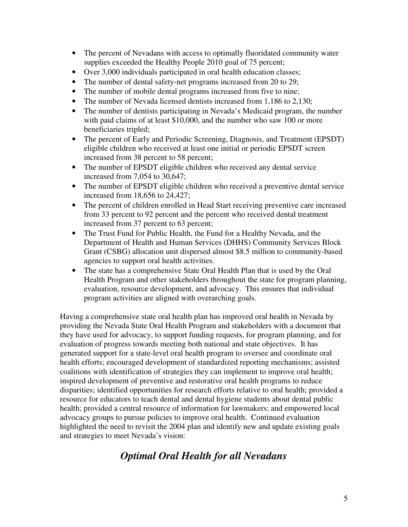- The percent of Nevadans with access to optimally fluoridated community water supplies exceeded the Healthy People 2010 goal of 75 percent;
- Over 3,000 individuals participated in oral health education classes;
- The number of dental safety-net programs increased from 20 to 29;
- The number of mobile dental programs increased from five to nine;
- The number of Nevada licensed dentists increased from 1,186 to 2,130;
- The number of dentists participating in Nevada's Medicaid program, the number with paid claims of at least \$10,000, and the number who saw 100 or more beneficiaries tripled;
- The percent of Early and Periodic Screening, Diagnosis, and Treatment (EPSDT) eligible children who received at least one initial or periodic EPSDT screen increased from 38 percent to 58 percent;
- The number of EPSDT eligible children who received any dental service increased from 7,054 to 30,647;
- The number of EPSDT eligible children who received a preventive dental service increased from 18,656 to 24,427;
- The percent of children enrolled in Head Start receiving preventive care increased from 33 percent to 92 percent and the percent who received dental treatment increased from 37 percent to 63 percent;
- The Trust Fund for Public Health, the Fund for a Healthy Nevada, and the Department of Health and Human Services (DHHS) Community Services Block Grant (CSBG) allocation unit dispersed almost \$8.5 million to community-based agencies to support oral health activities.
- The state has a comprehensive State Oral Health Plan that is used by the Oral Health Program and other stakeholders throughout the state for program planning, evaluation, resource development, and advocacy. This ensures that individual program activities are aligned with overarching goals.

Having a comprehensive state oral health plan has improved oral health in Nevada by providing the Nevada State Oral Health Program and stakeholders with a document that they have used for advocacy, to support funding requests, for program planning, and for evaluation of progress towards meeting both national and state objectives. It has generated support for a state-level oral health program to oversee and coordinate oral health efforts; encouraged development of standardized reporting mechanisms; assisted coalitions with identification of strategies they can implement to improve oral health; inspired development of preventive and restorative oral health programs to reduce disparities; identified opportunities for research efforts relative to oral health; provided a resource for educators to teach dental and dental hygiene students about dental public health; provided a central resource of information for lawmakers; and empowered local advocacy groups to pursue policies to improve oral health. Continued evaluation highlighted the need to revisit the 2004 plan and identify new and update existing goals and strategies to meet Nevada's vision:

## *Optimal Oral Health for all Nevadans*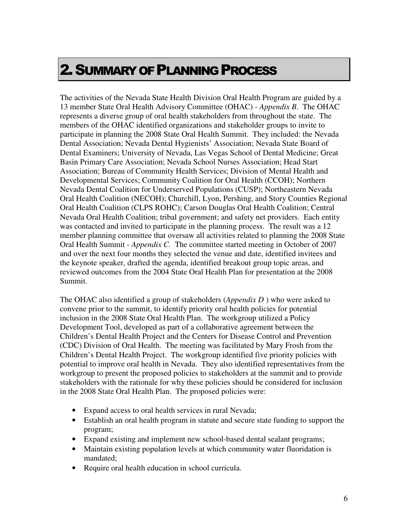# 2.SUMMARY OF PLANNING PROCESS

The activities of the Nevada State Health Division Oral Health Program are guided by a 13 member State Oral Health Advisory Committee (OHAC) - *Appendix B*. The OHAC represents a diverse group of oral health stakeholders from throughout the state. The members of the OHAC identified organizations and stakeholder groups to invite to participate in planning the 2008 State Oral Health Summit. They included: the Nevada Dental Association; Nevada Dental Hygienists' Association; Nevada State Board of Dental Examiners; University of Nevada, Las Vegas School of Dental Medicine; Great Basin Primary Care Association; Nevada School Nurses Association; Head Start Association; Bureau of Community Health Services; Division of Mental Health and Developmental Services; Community Coalition for Oral Health (CCOH); Northern Nevada Dental Coalition for Underserved Populations (CUSP); Northeastern Nevada Oral Health Coalition (NECOH); Churchill, Lyon, Pershing, and Story Counties Regional Oral Health Coalition (CLPS ROHC); Carson Douglas Oral Health Coalition; Central Nevada Oral Health Coalition; tribal government; and safety net providers. Each entity was contacted and invited to participate in the planning process. The result was a 12 member planning committee that oversaw all activities related to planning the 2008 State Oral Health Summit - *Appendix C.* The committee started meeting in October of 2007 and over the next four months they selected the venue and date, identified invitees and the keynote speaker, drafted the agenda, identified breakout group topic areas, and reviewed outcomes from the 2004 State Oral Health Plan for presentation at the 2008 Summit.

The OHAC also identified a group of stakeholders (*Appendix D* ) who were asked to convene prior to the summit, to identify priority oral health policies for potential inclusion in the 2008 State Oral Health Plan. The workgroup utilized a Policy Development Tool, developed as part of a collaborative agreement between the Children's Dental Health Project and the Centers for Disease Control and Prevention (CDC) Division of Oral Health. The meeting was facilitated by Mary Frosh from the Children's Dental Health Project. The workgroup identified five priority policies with potential to improve oral health in Nevada. They also identified representatives from the workgroup to present the proposed policies to stakeholders at the summit and to provide stakeholders with the rationale for why these policies should be considered for inclusion in the 2008 State Oral Health Plan. The proposed policies were:

- Expand access to oral health services in rural Nevada;
- Establish an oral health program in statute and secure state funding to support the program;
- Expand existing and implement new school-based dental sealant programs;
- Maintain existing population levels at which community water fluoridation is mandated;
- Require oral health education in school curricula.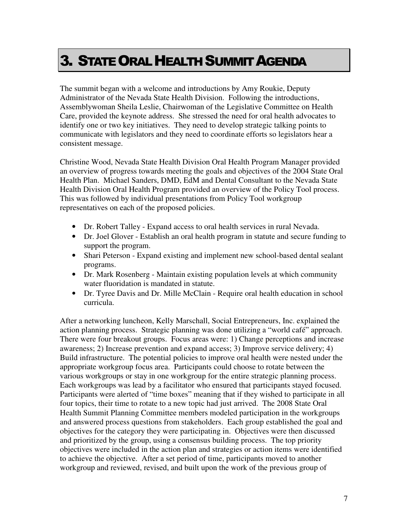# 3. STATE ORAL HEALTH SUMMIT AGENDA

The summit began with a welcome and introductions by Amy Roukie, Deputy Administrator of the Nevada State Health Division. Following the introductions, Assemblywoman Sheila Leslie, Chairwoman of the Legislative Committee on Health Care, provided the keynote address. She stressed the need for oral health advocates to identify one or two key initiatives. They need to develop strategic talking points to communicate with legislators and they need to coordinate efforts so legislators hear a consistent message.

Christine Wood, Nevada State Health Division Oral Health Program Manager provided an overview of progress towards meeting the goals and objectives of the 2004 State Oral Health Plan. Michael Sanders, DMD, EdM and Dental Consultant to the Nevada State Health Division Oral Health Program provided an overview of the Policy Tool process. This was followed by individual presentations from Policy Tool workgroup representatives on each of the proposed policies.

- Dr. Robert Talley Expand access to oral health services in rural Nevada.
- Dr. Joel Glover Establish an oral health program in statute and secure funding to support the program.
- Shari Peterson Expand existing and implement new school-based dental sealant programs.
- Dr. Mark Rosenberg Maintain existing population levels at which community water fluoridation is mandated in statute.
- Dr. Tyree Davis and Dr. Mille McClain Require oral health education in school curricula.

After a networking luncheon, Kelly Marschall, Social Entrepreneurs, Inc. explained the action planning process. Strategic planning was done utilizing a "world café" approach. There were four breakout groups. Focus areas were: 1) Change perceptions and increase awareness; 2) Increase prevention and expand access; 3) Improve service delivery; 4) Build infrastructure. The potential policies to improve oral health were nested under the appropriate workgroup focus area. Participants could choose to rotate between the various workgroups or stay in one workgroup for the entire strategic planning process. Each workgroups was lead by a facilitator who ensured that participants stayed focused. Participants were alerted of "time boxes" meaning that if they wished to participate in all four topics, their time to rotate to a new topic had just arrived. The 2008 State Oral Health Summit Planning Committee members modeled participation in the workgroups and answered process questions from stakeholders. Each group established the goal and objectives for the category they were participating in. Objectives were then discussed and prioritized by the group, using a consensus building process. The top priority objectives were included in the action plan and strategies or action items were identified to achieve the objective. After a set period of time, participants moved to another workgroup and reviewed, revised, and built upon the work of the previous group of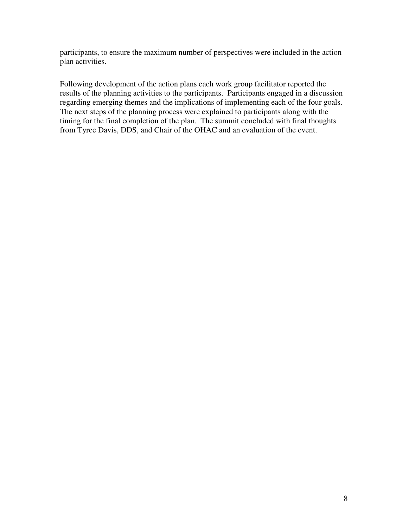participants, to ensure the maximum number of perspectives were included in the action plan activities.

Following development of the action plans each work group facilitator reported the results of the planning activities to the participants. Participants engaged in a discussion regarding emerging themes and the implications of implementing each of the four goals. The next steps of the planning process were explained to participants along with the timing for the final completion of the plan. The summit concluded with final thoughts from Tyree Davis, DDS, and Chair of the OHAC and an evaluation of the event.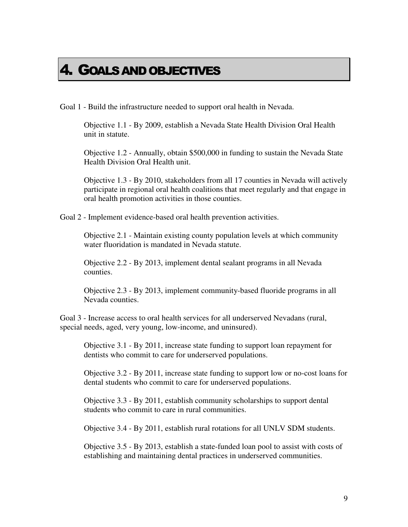# 4. GOALS AND OBJECTIVES

Goal 1 - Build the infrastructure needed to support oral health in Nevada.

Objective 1.1 - By 2009, establish a Nevada State Health Division Oral Health unit in statute.

Objective 1.2 - Annually, obtain \$500,000 in funding to sustain the Nevada State Health Division Oral Health unit.

Objective 1.3 - By 2010, stakeholders from all 17 counties in Nevada will actively participate in regional oral health coalitions that meet regularly and that engage in oral health promotion activities in those counties.

Goal 2 - Implement evidence-based oral health prevention activities.

Objective 2.1 - Maintain existing county population levels at which community water fluoridation is mandated in Nevada statute.

Objective 2.2 - By 2013, implement dental sealant programs in all Nevada counties.

Objective 2.3 - By 2013, implement community-based fluoride programs in all Nevada counties.

Goal 3 - Increase access to oral health services for all underserved Nevadans (rural, special needs, aged, very young, low-income, and uninsured).

Objective 3.1 - By 2011, increase state funding to support loan repayment for dentists who commit to care for underserved populations.

Objective 3.2 - By 2011, increase state funding to support low or no-cost loans for dental students who commit to care for underserved populations.

Objective 3.3 - By 2011, establish community scholarships to support dental students who commit to care in rural communities.

Objective 3.4 - By 2011, establish rural rotations for all UNLV SDM students.

Objective 3.5 - By 2013, establish a state-funded loan pool to assist with costs of establishing and maintaining dental practices in underserved communities.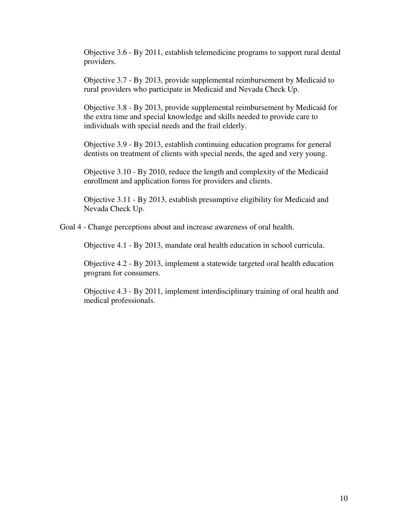Objective 3.6 - By 2011, establish telemedicine programs to support rural dental providers.

Objective 3.7 - By 2013, provide supplemental reimbursement by Medicaid to rural providers who participate in Medicaid and Nevada Check Up.

Objective 3.8 - By 2013, provide supplemental reimbursement by Medicaid for the extra time and special knowledge and skills needed to provide care to individuals with special needs and the frail elderly.

Objective 3.9 - By 2013, establish continuing education programs for general dentists on treatment of clients with special needs, the aged and very young.

Objective 3.10 - By 2010, reduce the length and complexity of the Medicaid enrollment and application forms for providers and clients.

Objective 3.11 - By 2013, establish presumptive eligibility for Medicaid and Nevada Check Up.

Goal 4 - Change perceptions about and increase awareness of oral health.

Objective 4.1 - By 2013, mandate oral health education in school curricula.

Objective 4.2 - By 2013, implement a statewide targeted oral health education program for consumers.

Objective 4.3 - By 2011, implement interdisciplinary training of oral health and medical professionals.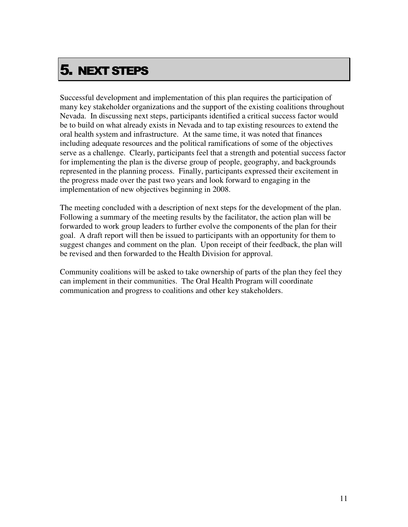# 5. NEXT STEPS

Successful development and implementation of this plan requires the participation of many key stakeholder organizations and the support of the existing coalitions throughout Nevada. In discussing next steps, participants identified a critical success factor would be to build on what already exists in Nevada and to tap existing resources to extend the oral health system and infrastructure. At the same time, it was noted that finances including adequate resources and the political ramifications of some of the objectives serve as a challenge. Clearly, participants feel that a strength and potential success factor for implementing the plan is the diverse group of people, geography, and backgrounds represented in the planning process. Finally, participants expressed their excitement in the progress made over the past two years and look forward to engaging in the implementation of new objectives beginning in 2008.

The meeting concluded with a description of next steps for the development of the plan. Following a summary of the meeting results by the facilitator, the action plan will be forwarded to work group leaders to further evolve the components of the plan for their goal. A draft report will then be issued to participants with an opportunity for them to suggest changes and comment on the plan. Upon receipt of their feedback, the plan will be revised and then forwarded to the Health Division for approval.

Community coalitions will be asked to take ownership of parts of the plan they feel they can implement in their communities. The Oral Health Program will coordinate communication and progress to coalitions and other key stakeholders.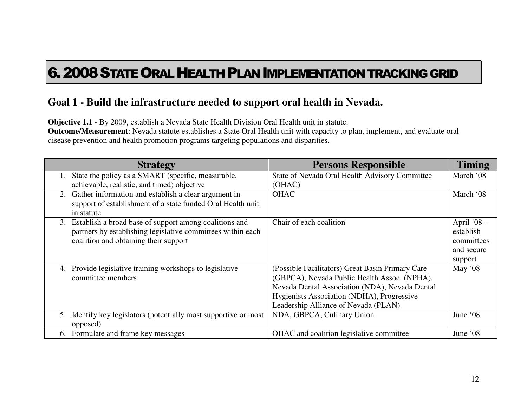# 6.2008STATE ORAL HEALTH PLAN IMPLEMENTATION TRACKING GRID

## **Goal 1 - Build the infrastructure needed to support oral health in Nevada.**

**Objective 1.1** - By 2009, establish a Nevada State Health Division Oral Health unit in statute.

 **Outcome/Measurement**: Nevada statute establishes a State Oral Health unit with capacity to plan, implement, and evaluate oral disease prevention and health promotion programs targeting populations and disparities.

|    | <b>Strategy</b>                                               | <b>Persons Responsible</b>                       | <b>Timing</b> |
|----|---------------------------------------------------------------|--------------------------------------------------|---------------|
|    | State the policy as a SMART (specific, measurable,            | State of Nevada Oral Health Advisory Committee   | March '08     |
|    | achievable, realistic, and timed) objective                   | (OHAC)                                           |               |
| 2. | Gather information and establish a clear argument in          | <b>OHAC</b>                                      | March '08     |
|    | support of establishment of a state funded Oral Health unit   |                                                  |               |
|    | in statute                                                    |                                                  |               |
| 3. | Establish a broad base of support among coalitions and        | Chair of each coalition                          | April '08 -   |
|    | partners by establishing legislative committees within each   |                                                  | establish     |
|    | coalition and obtaining their support                         |                                                  | committees    |
|    |                                                               |                                                  | and secure    |
|    |                                                               |                                                  | support       |
| 4. | Provide legislative training workshops to legislative         | (Possible Facilitators) Great Basin Primary Care | May '08       |
|    | committee members                                             | (GBPCA), Nevada Public Health Assoc. (NPHA),     |               |
|    |                                                               | Nevada Dental Association (NDA), Nevada Dental   |               |
|    |                                                               | Hygienists Association (NDHA), Progressive       |               |
|    |                                                               | Leadership Alliance of Nevada (PLAN)             |               |
| 5. | Identify key legislators (potentially most supportive or most | NDA, GBPCA, Culinary Union                       | June '08      |
|    | opposed)                                                      |                                                  |               |
| 6. | Formulate and frame key messages                              | OHAC and coalition legislative committee         | June '08      |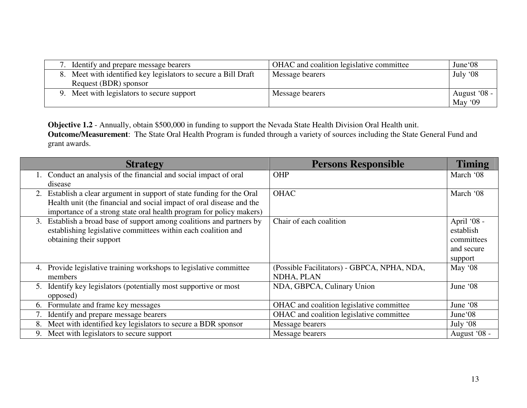| Identify and prepare message bearers                           | OHAC and coalition legislative committee | June'08      |
|----------------------------------------------------------------|------------------------------------------|--------------|
| 8. Meet with identified key legislators to secure a Bill Draft | Message bearers                          | July '08     |
| Request (BDR) sponsor                                          |                                          |              |
| 9. Meet with legislators to secure support                     | Message bearers                          | August '08 - |
|                                                                |                                          | May $'09$    |

**Objective 1.2** - Annually, obtain \$500,000 in funding to support the Nevada State Health Division Oral Health unit.<br>**Outcome/Measurement**: The State Oral Health Program is funded through a variety of sources including the grant awards.

| <b>Strategy</b>                                                           | <b>Persons Responsible</b>                  | <b>Timing</b> |
|---------------------------------------------------------------------------|---------------------------------------------|---------------|
| 1. Conduct an analysis of the financial and social impact of oral         | OHP                                         | March '08     |
| disease                                                                   |                                             |               |
| Establish a clear argument in support of state funding for the Oral<br>2. | <b>OHAC</b>                                 | March '08     |
| Health unit (the financial and social impact of oral disease and the      |                                             |               |
| importance of a strong state oral health program for policy makers)       |                                             |               |
| Establish a broad base of support among coalitions and partners by<br>3.  | Chair of each coalition                     | April '08 -   |
| establishing legislative committees within each coalition and             |                                             | establish     |
| obtaining their support                                                   |                                             | committees    |
|                                                                           |                                             | and secure    |
|                                                                           |                                             | support       |
| Provide legislative training workshops to legislative committee<br>4.     | (Possible Facilitators) - GBPCA, NPHA, NDA, | May '08       |
| members                                                                   | NDHA, PLAN                                  |               |
| Identify key legislators (potentially most supportive or most<br>5.       | NDA, GBPCA, Culinary Union                  | June '08      |
| opposed)                                                                  |                                             |               |
| Formulate and frame key messages<br>6.                                    | OHAC and coalition legislative committee    | June '08      |
| Identify and prepare message bearers                                      | OHAC and coalition legislative committee    | June'08       |
| Meet with identified key legislators to secure a BDR sponsor<br>8.        | Message bearers                             | July $08$     |
| Meet with legislators to secure support<br>9.                             | Message bearers                             | August '08 -  |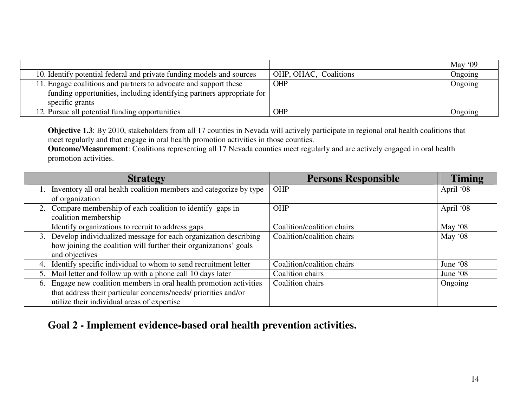|                                                                                                                                                                |                       | May '09 |
|----------------------------------------------------------------------------------------------------------------------------------------------------------------|-----------------------|---------|
| 10. Identify potential federal and private funding models and sources                                                                                          | OHP, OHAC, Coalitions | Ongoing |
| 11. Engage coalitions and partners to advocate and support these<br>funding opportunities, including identifying partners appropriate for  <br>specific grants | <b>OHP</b>            | Ongoing |
| 12. Pursue all potential funding opportunities                                                                                                                 | <b>OHP</b>            | Ongoing |

**Objective 1.3**: By 2010, stakeholders from all 17 counties in Nevada will actively participate in regional oral health coalitions that meet regularly and that engage in oral health promotion activities in those counties.

 **Outcome/Measurement**: Coalitions representing all 17 Nevada counties meet regularly and are actively engaged in oral health promotion activities.

| <b>Strategy</b>                                                        | <b>Persons Responsible</b> | <b>Timing</b> |
|------------------------------------------------------------------------|----------------------------|---------------|
| Inventory all oral health coalition members and categorize by type     | <b>OHP</b>                 | April '08     |
| of organization                                                        |                            |               |
| 2. Compare membership of each coalition to identify gaps in            | <b>OHP</b>                 | April '08     |
| coalition membership                                                   |                            |               |
| Identify organizations to recruit to address gaps                      | Coalition/coalition chairs | May $08$      |
| 3. Develop individualized message for each organization describing     | Coalition/coalition chairs | May '08       |
| how joining the coalition will further their organizations' goals      |                            |               |
| and objectives                                                         |                            |               |
| Identify specific individual to whom to send recruitment letter<br>4.  | Coalition/coalition chairs | June '08      |
| Mail letter and follow up with a phone call 10 days later<br>5.        | Coalition chairs           | June '08      |
| Engage new coalition members in oral health promotion activities<br>6. | Coalition chairs           | Ongoing       |
| that address their particular concerns/needs/ priorities and/or        |                            |               |
| utilize their individual areas of expertise                            |                            |               |

**Goal 2 - Implement evidence-based oral health prevention activities.**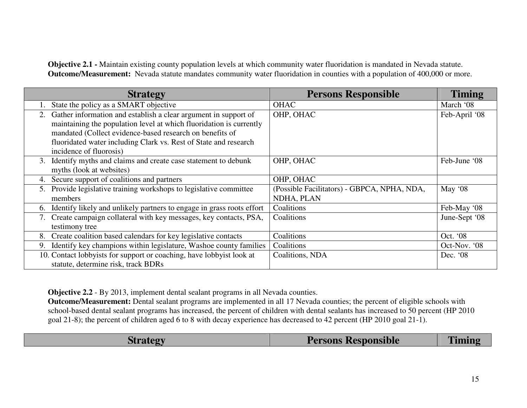**Objective 2.1 -** Maintain existing county population levels at which community water fluoridation is mandated in Nevada statute. **Outcome/Measurement:** Nevada statute mandates community water fluoridation in counties with a population of 400,000 or more.

|    | <b>Strategy</b>                                                                                                                                                                                                                                                                                   | <b>Persons Responsible</b>                                | <b>Timing</b> |
|----|---------------------------------------------------------------------------------------------------------------------------------------------------------------------------------------------------------------------------------------------------------------------------------------------------|-----------------------------------------------------------|---------------|
|    | State the policy as a SMART objective                                                                                                                                                                                                                                                             | <b>OHAC</b>                                               | March '08     |
| 2. | Gather information and establish a clear argument in support of<br>maintaining the population level at which fluoridation is currently<br>mandated (Collect evidence-based research on benefits of<br>fluoridated water including Clark vs. Rest of State and research<br>incidence of fluorosis) | OHP, OHAC                                                 | Feb-April '08 |
| 3. | Identify myths and claims and create case statement to debunk<br>myths (look at websites)                                                                                                                                                                                                         | OHP, OHAC                                                 | Feb-June '08  |
| 4. | Secure support of coalitions and partners                                                                                                                                                                                                                                                         | OHP, OHAC                                                 |               |
| 5. | Provide legislative training workshops to legislative committee<br>members                                                                                                                                                                                                                        | (Possible Facilitators) - GBPCA, NPHA, NDA,<br>NDHA, PLAN | May '08       |
|    | 6. Identify likely and unlikely partners to engage in grass roots effort                                                                                                                                                                                                                          | Coalitions                                                | Feb-May '08   |
|    | Create campaign collateral with key messages, key contacts, PSA,<br>testimony tree                                                                                                                                                                                                                | Coalitions                                                | June-Sept '08 |
| 8. | Create coalition based calendars for key legislative contacts                                                                                                                                                                                                                                     | Coalitions                                                | Oct. '08      |
| 9. | Identify key champions within legislature, Washoe county families                                                                                                                                                                                                                                 | Coalitions                                                | Oct-Nov. '08  |
|    | 10. Contact lobbyists for support or coaching, have lobbyist look at<br>statute, determine risk, track BDRs                                                                                                                                                                                       | Coalitions, NDA                                           | Dec. '08      |

**Objective 2.2** - By 2013, implement dental sealant programs in all Nevada counties.

 **Outcome/Measurement:** Dental sealant programs are implemented in all 17 Nevada counties; the percent of eligible schools with school-based dental sealant programs has increased, the percent of children with dental sealants has increased to 50 percent (HP 2010 goal 21-8); the percent of children aged 6 to 8 with decay experience has decreased to 42 percent (HP 2010 goal 21-1).

| Strategy | <b>Persons Responsible</b> | <b>Timing</b> |
|----------|----------------------------|---------------|
|          |                            |               |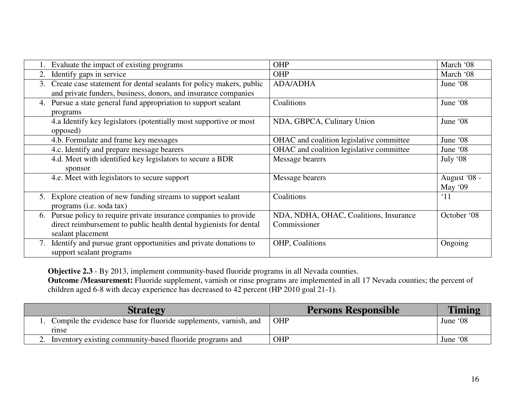|    | Evaluate the impact of existing programs                            | OHP                                      | March '08    |
|----|---------------------------------------------------------------------|------------------------------------------|--------------|
| 2. | Identify gaps in service                                            | <b>OHP</b>                               | March '08    |
| 3. | Create case statement for dental sealants for policy makers, public | <b>ADA/ADHA</b>                          | June '08     |
|    | and private funders, business, donors, and insurance companies      |                                          |              |
| 4. | Pursue a state general fund appropriation to support sealant        | Coalitions                               | June '08     |
|    | programs                                                            |                                          |              |
|    | 4.a Identify key legislators (potentially most supportive or most   | NDA, GBPCA, Culinary Union               | June '08     |
|    | opposed)                                                            |                                          |              |
|    | 4.b. Formulate and frame key messages                               | OHAC and coalition legislative committee | June '08     |
|    | 4.c. Identify and prepare message bearers                           | OHAC and coalition legislative committee | June '08     |
|    | 4.d. Meet with identified key legislators to secure a BDR           | Message bearers                          | July '08     |
|    | sponsor                                                             |                                          |              |
|    | 4.e. Meet with legislators to secure support                        | Message bearers                          | August '08 - |
|    |                                                                     |                                          | May $'09$    |
| 5. | Explore creation of new funding streams to support sealant          | Coalitions                               | $^{\circ}11$ |
|    | programs (i.e. soda tax)                                            |                                          |              |
| 6. | Pursue policy to require private insurance companies to provide     | NDA, NDHA, OHAC, Coalitions, Insurance   | October '08  |
|    | direct reimbursement to public health dental hygienists for dental  | Commissioner                             |              |
|    | sealant placement                                                   |                                          |              |
| 7. | Identify and pursue grant opportunities and private donations to    | OHP, Coalitions                          | Ongoing      |
|    | support sealant programs                                            |                                          |              |

**Objective 2.3** - By 2013, implement community-based fluoride programs in all Nevada counties.

 **Outcome /Measurement:** Fluoride supplement, varnish or rinse programs are implemented in all 17 Nevada counties; the percent of children aged 6-8 with decay experience has decreased to 42 percent (HP 2010 goal 21-1).

| <b>Strategy</b>                                                           | <b>Persons Responsible</b> | <b>Timing</b> |
|---------------------------------------------------------------------------|----------------------------|---------------|
| Compile the evidence base for fluoride supplements, varnish, and<br>rinse | OHP                        | June '08      |
| Inventory existing community-based fluoride programs and                  | OHP                        | June '08      |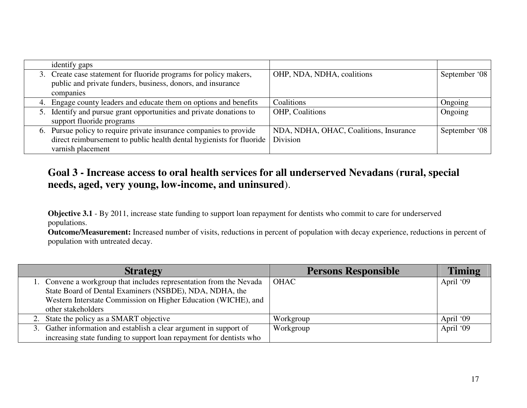|    | identify gaps                                                        |                                        |               |
|----|----------------------------------------------------------------------|----------------------------------------|---------------|
|    | 3. Create case statement for fluoride programs for policy makers,    | OHP, NDA, NDHA, coalitions             | September '08 |
|    | public and private funders, business, donors, and insurance          |                                        |               |
|    | companies                                                            |                                        |               |
|    | 4. Engage county leaders and educate them on options and benefits    | Coalitions                             | Ongoing       |
| 5. | Identify and pursue grant opportunities and private donations to     | OHP, Coalitions                        | Ongoing       |
|    | support fluoride programs                                            |                                        |               |
|    | 6. Pursue policy to require private insurance companies to provide   | NDA, NDHA, OHAC, Coalitions, Insurance | September '08 |
|    | direct reimbursement to public health dental hygienists for fluoride | Division                               |               |
|    | varnish placement                                                    |                                        |               |

## **Goal 3 - Increase access to oral health services for all underserved Nevadans (rural, special needs, aged, very young, low-income, and uninsured**).

**Objective 3.1** - By 2011, increase state funding to support loan repayment for dentists who commit to care for underserved populations.

| <b>Strategy</b>                                                     | <b>Persons Responsible</b> | <b>Timing</b> |
|---------------------------------------------------------------------|----------------------------|---------------|
| 1. Convene a workgroup that includes representation from the Nevada | <b>OHAC</b>                | April '09     |
| State Board of Dental Examiners (NSBDE), NDA, NDHA, the             |                            |               |
| Western Interstate Commission on Higher Education (WICHE), and      |                            |               |
| other stakeholders                                                  |                            |               |
| 2. State the policy as a SMART objective                            | Workgroup                  | April '09     |
| 3. Gather information and establish a clear argument in support of  | Workgroup                  | April '09     |
| increasing state funding to support loan repayment for dentists who |                            |               |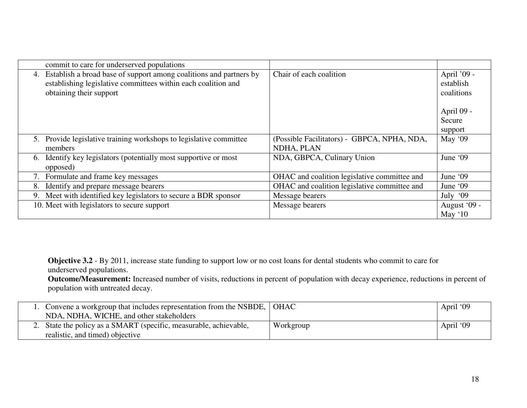|    | commit to care for underserved populations                                                                                                                     |                                                           |                                        |
|----|----------------------------------------------------------------------------------------------------------------------------------------------------------------|-----------------------------------------------------------|----------------------------------------|
| 4. | Establish a broad base of support among coalitions and partners by<br>establishing legislative committees within each coalition and<br>obtaining their support | Chair of each coalition                                   | April '09 -<br>establish<br>coalitions |
|    |                                                                                                                                                                |                                                           | April 09 -<br>Secure<br>support        |
| 5. | Provide legislative training workshops to legislative committee<br>members                                                                                     | (Possible Facilitators) - GBPCA, NPHA, NDA,<br>NDHA, PLAN | May '09                                |
| 6. | Identify key legislators (potentially most supportive or most<br>opposed)                                                                                      | NDA, GBPCA, Culinary Union                                | June '09                               |
| 7. | Formulate and frame key messages                                                                                                                               | OHAC and coalition legislative committee and              | June '09                               |
| 8. | Identify and prepare message bearers                                                                                                                           | OHAC and coalition legislative committee and              | June '09                               |
| 9. | Meet with identified key legislators to secure a BDR sponsor                                                                                                   | Message bearers                                           | July '09                               |
|    | 10. Meet with legislators to secure support                                                                                                                    | Message bearers                                           | August '09 -<br>May '10                |

**Objective 3.2** - By 2011, increase state funding to support low or no cost loans for dental students who commit to care for underserved populations.

| Convene a workgroup that includes representation from the NSBDE,   OHAC |           | April '09 |
|-------------------------------------------------------------------------|-----------|-----------|
| NDA, NDHA, WICHE, and other stakeholders                                |           |           |
| 2. State the policy as a SMART (specific, measurable, achievable,       | Workgroup | April '09 |
| realistic, and timed) objective                                         |           |           |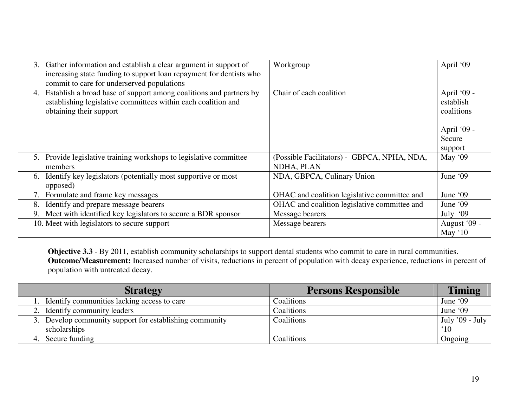| 3. | Gather information and establish a clear argument in support of<br>increasing state funding to support loan repayment for dentists who<br>commit to care for underserved populations | Workgroup                                                 | April '09                              |
|----|--------------------------------------------------------------------------------------------------------------------------------------------------------------------------------------|-----------------------------------------------------------|----------------------------------------|
| 4. | Establish a broad base of support among coalitions and partners by<br>establishing legislative committees within each coalition and<br>obtaining their support                       | Chair of each coalition                                   | April '09 -<br>establish<br>coalitions |
|    |                                                                                                                                                                                      |                                                           | April '09 -                            |
|    |                                                                                                                                                                                      |                                                           | Secure                                 |
|    |                                                                                                                                                                                      |                                                           | support                                |
|    | 5. Provide legislative training workshops to legislative committee<br>members                                                                                                        | (Possible Facilitators) - GBPCA, NPHA, NDA,<br>NDHA, PLAN | May '09                                |
| 6. | Identify key legislators (potentially most supportive or most<br>opposed)                                                                                                            | NDA, GBPCA, Culinary Union                                | June '09                               |
| 7. | Formulate and frame key messages                                                                                                                                                     | OHAC and coalition legislative committee and              | June '09                               |
| 8. | Identify and prepare message bearers                                                                                                                                                 | OHAC and coalition legislative committee and              | June '09                               |
|    | 9. Meet with identified key legislators to secure a BDR sponsor                                                                                                                      | Message bearers                                           | July '09                               |
|    | 10. Meet with legislators to secure support                                                                                                                                          | Message bearers                                           | August '09 -<br>May $'10$              |

**Objective 3.3** - By 2011, establish community scholarships to support dental students who commit to care in rural communities. **Outcome/Measurement:** Increased number of visits, reductions in percent of population with decay experience, reductions in percent of population with untreated decay.

| <b>Strategy</b>                                         | <b>Persons Responsible</b> | <b>Timing</b>   |
|---------------------------------------------------------|----------------------------|-----------------|
| Identify communities lacking access to care             | Coalitions                 | June '09        |
| 2. Identify community leaders                           | Coalitions                 | June '09        |
| 3. Develop community support for establishing community | Coalitions                 | July '09 - July |
| scholarships                                            |                            | $^{\circ}10$    |
| Secure funding                                          | Coalitions                 | Ongoing         |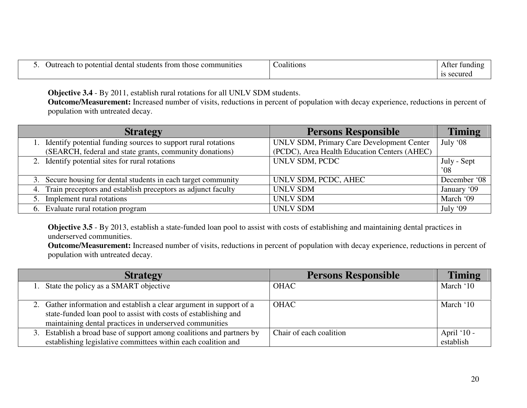| dental students<br>to potential<br>trom those<br>. Jutreach :<br>: communities | coalitions | After.<br>tunding |
|--------------------------------------------------------------------------------|------------|-------------------|
|                                                                                |            | .cure             |

**Objective 3.4** - By 2011, establish rural rotations for all UNLV SDM students.

 **Outcome/Measurement:** Increased number of visits, reductions in percent of population with decay experience, reductions in percent of population with untreated decay.

| <b>Strategy</b>                                                  | <b>Persons Responsible</b>                   | <b>Timing</b> |
|------------------------------------------------------------------|----------------------------------------------|---------------|
| 1. Identify potential funding sources to support rural rotations | UNLV SDM, Primary Care Development Center    | July '08      |
| (SEARCH, federal and state grants, community donations)          | (PCDC), Area Health Education Centers (AHEC) |               |
| 2. Identify potential sites for rural rotations                  | UNLV SDM, PCDC                               | July - Sept   |
|                                                                  |                                              | $^{\circ}08$  |
| 3. Secure housing for dental students in each target community   | UNLV SDM, PCDC, AHEC                         | December '08  |
| 4. Train preceptors and establish preceptors as adjunct faculty  | <b>UNLV SDM</b>                              | January '09   |
| 5. Implement rural rotations                                     | <b>UNLV SDM</b>                              | March '09     |
| 6. Evaluate rural rotation program                               | <b>UNLV SDM</b>                              | July '09      |

**Objective 3.5** - By 2013, establish a state-funded loan pool to assist with costs of establishing and maintaining dental practices in underserved communities.

| <b>Strategy</b>                                                                                                                                                                                    | <b>Persons Responsible</b> | <b>Timing</b>            |
|----------------------------------------------------------------------------------------------------------------------------------------------------------------------------------------------------|----------------------------|--------------------------|
| 1. State the policy as a SMART objective                                                                                                                                                           | <b>OHAC</b>                | March '10                |
| 2. Gather information and establish a clear argument in support of a<br>state-funded loan pool to assist with costs of establishing and<br>maintaining dental practices in underserved communities | <b>OHAC</b>                | March '10                |
| Establish a broad base of support among coalitions and partners by<br>3.<br>establishing legislative committees within each coalition and                                                          | Chair of each coalition    | April '10 -<br>establish |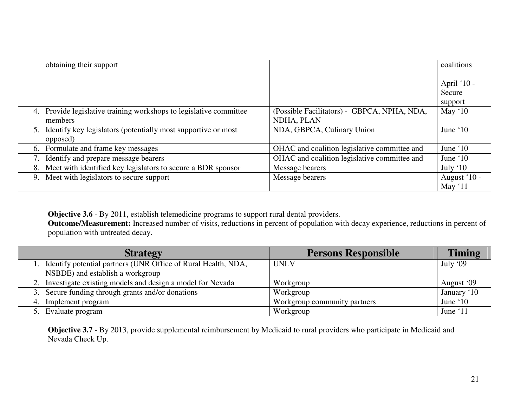| obtaining their support                                               |                                              | coalitions   |
|-----------------------------------------------------------------------|----------------------------------------------|--------------|
|                                                                       |                                              |              |
|                                                                       |                                              | April '10 -  |
|                                                                       |                                              | Secure       |
|                                                                       |                                              | support      |
| Provide legislative training workshops to legislative committee<br>4. | (Possible Facilitators) - GBPCA, NPHA, NDA,  | May $10$     |
| members                                                               | NDHA, PLAN                                   |              |
| Identify key legislators (potentially most supportive or most<br>5.   | NDA, GBPCA, Culinary Union                   | June $10$    |
| opposed)                                                              |                                              |              |
| 6. Formulate and frame key messages                                   | OHAC and coalition legislative committee and | June $10$    |
| Identify and prepare message bearers                                  | OHAC and coalition legislative committee and | June $10$    |
| Meet with identified key legislators to secure a BDR sponsor<br>8.    | Message bearers                              | July $10$    |
| Meet with legislators to secure support<br>9.                         | Message bearers                              | August '10 - |
|                                                                       |                                              | May $11$     |

**Objective 3.6** - By 2011, establish telemedicine programs to support rural dental providers.<br>**Outcome/Measurement:** Increased number of visits, reductions in percent of population with decay experience, reductions in perc population with untreated decay.

| <b>Strategy</b>                                                  | <b>Persons Responsible</b>   | <b>Timing</b> |
|------------------------------------------------------------------|------------------------------|---------------|
| 1. Identify potential partners (UNR Office of Rural Health, NDA, | <b>UNLV</b>                  | July '09      |
| NSBDE) and establish a workgroup                                 |                              |               |
| 2. Investigate existing models and design a model for Nevada     | Workgroup                    | August '09    |
| 3. Secure funding through grants and/or donations                | Workgroup                    | January '10   |
| 4. Implement program                                             | Workgroup community partners | June $10$     |
| 5. Evaluate program                                              | Workgroup                    | June '11      |

**Objective 3.7** - By 2013, provide supplemental reimbursement by Medicaid to rural providers who participate in Medicaid and Nevada Check Up.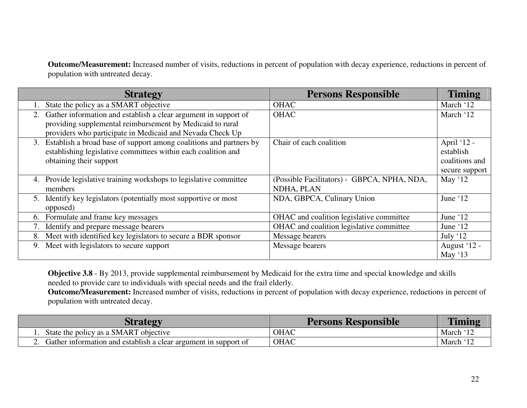**Outcome/Measurement:** Increased number of visits, reductions in percent of population with decay experience, reductions in percent of population with untreated decay.

| <b>Strategy</b>                                                          | <b>Persons Responsible</b>                  | <b>Timing</b>  |
|--------------------------------------------------------------------------|---------------------------------------------|----------------|
| State the policy as a SMART objective                                    | <b>OHAC</b>                                 | March '12      |
| Gather information and establish a clear argument in support of<br>2.    | <b>OHAC</b>                                 | March '12      |
| providing supplemental reimbursement by Medicaid to rural                |                                             |                |
| providers who participate in Medicaid and Nevada Check Up                |                                             |                |
| Establish a broad base of support among coalitions and partners by<br>3. | Chair of each coalition                     | April '12 -    |
| establishing legislative committees within each coalition and            |                                             | establish      |
| obtaining their support                                                  |                                             | coalitions and |
|                                                                          |                                             | secure support |
| Provide legislative training workshops to legislative committee<br>4.    | (Possible Facilitators) - GBPCA, NPHA, NDA, | May $12$       |
| members                                                                  | NDHA, PLAN                                  |                |
| Identify key legislators (potentially most supportive or most<br>5.      | NDA, GBPCA, Culinary Union                  | June $12$      |
| opposed)                                                                 |                                             |                |
| Formulate and frame key messages<br>6.                                   | OHAC and coalition legislative committee    | June '12       |
| Identify and prepare message bearers                                     | OHAC and coalition legislative committee    | June '12       |
| Meet with identified key legislators to secure a BDR sponsor<br>8.       | Message bearers                             | July $12$      |
| Meet with legislators to secure support<br>9.                            | Message bearers                             | August '12 -   |
|                                                                          |                                             | May '13        |

**Objective 3.8** - By 2013, provide supplemental reimbursement by Medicaid for the extra time and special knowledge and skills needed to provide care to individuals with special needs and the frail elderly.

| <b>Strategy</b>                                                 | <b>Persons Responsible</b> | <b>Timing</b>         |
|-----------------------------------------------------------------|----------------------------|-----------------------|
| State the policy as a SMART objective                           | <b>OHAC</b>                | March '1 <sup>~</sup> |
| Gather information and establish a clear argument in support of | <b>OHAC</b>                | March '17             |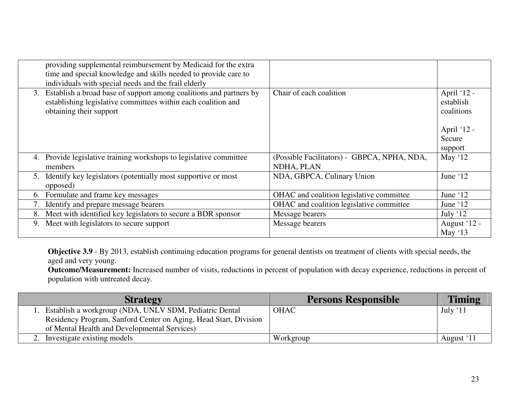|    | providing supplemental reimbursement by Medicaid for the extra<br>time and special knowledge and skills needed to provide care to<br>individuals with special needs and the frail elderly |                                                           |                                        |
|----|-------------------------------------------------------------------------------------------------------------------------------------------------------------------------------------------|-----------------------------------------------------------|----------------------------------------|
| 3. | Establish a broad base of support among coalitions and partners by<br>establishing legislative committees within each coalition and<br>obtaining their support                            | Chair of each coalition                                   | April '12 -<br>establish<br>coalitions |
|    |                                                                                                                                                                                           |                                                           | April '12 -                            |
|    |                                                                                                                                                                                           |                                                           | Secure                                 |
|    |                                                                                                                                                                                           |                                                           | support                                |
| 4. | Provide legislative training workshops to legislative committee<br>members                                                                                                                | (Possible Facilitators) - GBPCA, NPHA, NDA,<br>NDHA, PLAN | May $'12$                              |
| 5. | Identify key legislators (potentially most supportive or most<br>opposed)                                                                                                                 | NDA, GBPCA, Culinary Union                                | June '12                               |
| 6. | Formulate and frame key messages                                                                                                                                                          | OHAC and coalition legislative committee                  | June '12                               |
| 7. | Identify and prepare message bearers                                                                                                                                                      | OHAC and coalition legislative committee                  | June '12                               |
| 8. | Meet with identified key legislators to secure a BDR sponsor                                                                                                                              | Message bearers                                           | July $12$                              |
| 9. | Meet with legislators to secure support                                                                                                                                                   | Message bearers                                           | August '12 -<br>May $'13$              |

**Objective 3.9** - By 2013, establish continuing education programs for general dentists on treatment of clients with special needs, the aged and very young.

| <b>Strategy</b>                                                  | <b>Persons Responsible</b> | <b>Timing</b> |
|------------------------------------------------------------------|----------------------------|---------------|
| Establish a workgroup (NDA, UNLV SDM, Pediatric Dental           | <b>OHAC</b>                | July ' $11$   |
| Residency Program, Sanford Center on Aging, Head Start, Division |                            |               |
| of Mental Health and Developmental Services)                     |                            |               |
| 2. Investigate existing models                                   | Workgroup                  | August '11    |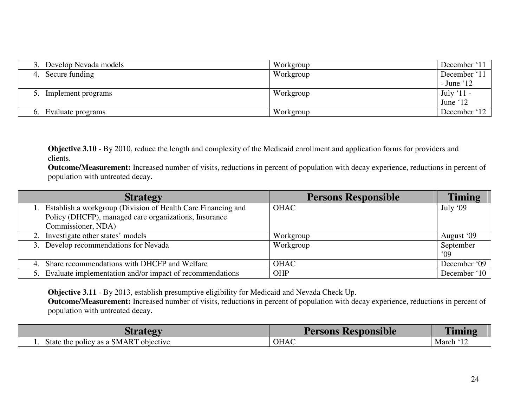| 3. Develop Nevada models | Workgroup | December '11  |
|--------------------------|-----------|---------------|
| 4. Secure funding        | Workgroup | December '11  |
|                          |           | $-$ June $12$ |
| Implement programs       | Workgroup | July ' $11$ - |
|                          |           | June '12      |
| Evaluate programs        | Workgroup | December '12  |

**Objective 3.10** - By 2010, reduce the length and complexity of the Medicaid enrollment and application forms for providers and clients.

 **Outcome/Measurement:** Increased number of visits, reductions in percent of population with decay experience, reductions in percent of population with untreated decay.

| <b>Strategy</b>                                                 | <b>Persons Responsible</b> | <b>Timing</b> |
|-----------------------------------------------------------------|----------------------------|---------------|
| 1. Establish a workgroup (Division of Health Care Financing and | <b>OHAC</b>                | July '09      |
| Policy (DHCFP), managed care organizations, Insurance           |                            |               |
| Commissioner, NDA)                                              |                            |               |
| 2. Investigate other states' models                             | Workgroup                  | August '09    |
| 3. Develop recommendations for Nevada                           | Workgroup                  | September     |
|                                                                 |                            | 09            |
| 4. Share recommendations with DHCFP and Welfare                 | <b>OHAC</b>                | December '09  |
| 5. Evaluate implementation and/or impact of recommendations     | <b>OHP</b>                 | December '10  |

**Objective 3.11** - By 2013, establish presumptive eligibility for Medicaid and Nevada Check Up.

| rateov                                        | <b>Persons Responsible</b> | <b>FIRE</b>  |
|-----------------------------------------------|----------------------------|--------------|
| e policy as a SMART<br>objective<br>State the | <b>OHAC</b>                | 61c<br>March |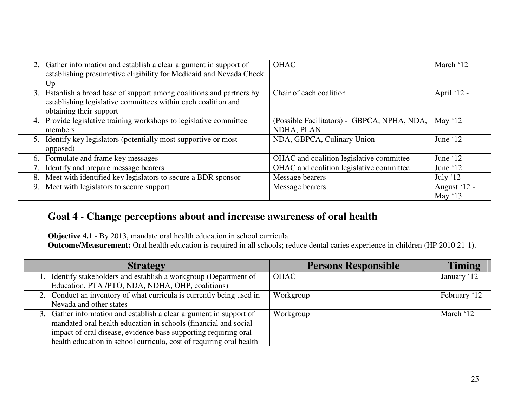|    | 2. Gather information and establish a clear argument in support of<br>establishing presumptive eligibility for Medicaid and Nevada Check | <b>OHAC</b>                                 | March '12    |
|----|------------------------------------------------------------------------------------------------------------------------------------------|---------------------------------------------|--------------|
|    | Up                                                                                                                                       |                                             |              |
|    | 3. Establish a broad base of support among coalitions and partners by                                                                    | Chair of each coalition                     | April '12 -  |
|    | establishing legislative committees within each coalition and                                                                            |                                             |              |
|    | obtaining their support                                                                                                                  |                                             |              |
| 4. | Provide legislative training workshops to legislative committee                                                                          | (Possible Facilitators) - GBPCA, NPHA, NDA, | May $12$     |
|    | members                                                                                                                                  | NDHA, PLAN                                  |              |
| 5. | Identify key legislators (potentially most supportive or most                                                                            | NDA, GBPCA, Culinary Union                  | June '12     |
|    | opposed)                                                                                                                                 |                                             |              |
| 6. | Formulate and frame key messages                                                                                                         | OHAC and coalition legislative committee    | June '12     |
|    | Identify and prepare message bearers                                                                                                     | OHAC and coalition legislative committee    | June $12$    |
| 8. | Meet with identified key legislators to secure a BDR sponsor                                                                             | Message bearers                             | July $12$    |
|    | 9. Meet with legislators to secure support                                                                                               | Message bearers                             | August '12 - |
|    |                                                                                                                                          |                                             | May $'13$    |

## **Goal 4 - Change perceptions about and increase awareness of oral health**

**Objective 4.1** - By 2013, mandate oral health education in school curricula. **Outcome/Measurement:** Oral health education is required in all schools; reduce dental caries experience in children (HP 2010 21-1).

| <b>Strategy</b>                                                      | <b>Persons Responsible</b> | <b>Timing</b> |
|----------------------------------------------------------------------|----------------------------|---------------|
| Identify stakeholders and establish a workgroup (Department of       | OHAC                       | January '12   |
| Education, PTA /PTO, NDA, NDHA, OHP, coalitions)                     |                            |               |
| 2. Conduct an inventory of what curricula is currently being used in | Workgroup                  | February '12  |
| Nevada and other states                                              |                            |               |
| 3. Gather information and establish a clear argument in support of   | Workgroup                  | March '12     |
| mandated oral health education in schools (financial and social      |                            |               |
| impact of oral disease, evidence base supporting requiring oral      |                            |               |
| health education in school curricula, cost of requiring oral health  |                            |               |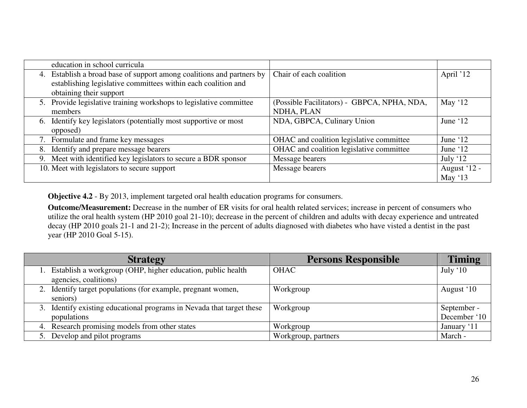|    | education in school curricula                                      |                                             |              |
|----|--------------------------------------------------------------------|---------------------------------------------|--------------|
| 4. | Establish a broad base of support among coalitions and partners by | Chair of each coalition                     | April '12    |
|    | establishing legislative committees within each coalition and      |                                             |              |
|    | obtaining their support                                            |                                             |              |
| 5. | Provide legislative training workshops to legislative committee    | (Possible Facilitators) - GBPCA, NPHA, NDA, | May $'12$    |
|    | members                                                            | NDHA, PLAN                                  |              |
|    | 6. Identify key legislators (potentially most supportive or most   | NDA, GBPCA, Culinary Union                  | June $12$    |
|    | opposed)                                                           |                                             |              |
|    | 7. Formulate and frame key messages                                | OHAC and coalition legislative committee    | June '12     |
|    | 8. Identify and prepare message bearers                            | OHAC and coalition legislative committee    | June '12     |
|    | 9. Meet with identified key legislators to secure a BDR sponsor    | Message bearers                             | July $12$    |
|    | 10. Meet with legislators to secure support                        | Message bearers                             | August '12 - |
|    |                                                                    |                                             | May $'13$    |

**Objective 4.2** - By 2013, implement targeted oral health education programs for consumers.

**Outcome/Measurement:** Decrease in the number of ER visits for oral health related services; increase in percent of consumers who utilize the oral health system (HP 2010 goal 21-10); decrease in the percent of children and adults with decay experience and untreated decay (HP 2010 goals 21-1 and 21-2); Increase in the percent of adults diagnosed with diabetes who have visted a dentist in the past year (HP 2010 Goal 5-15).

| <b>Strategy</b>                                                                      | <b>Persons Responsible</b> | <b>Timing</b>               |
|--------------------------------------------------------------------------------------|----------------------------|-----------------------------|
| Establish a workgroup (OHP, higher education, public health<br>agencies, coalitions) | <b>OHAC</b>                | July $`10$                  |
| 2. Identify target populations (for example, pregnant women,<br>seniors)             | Workgroup                  | August '10                  |
| 3. Identify existing educational programs in Nevada that target these<br>populations | Workgroup                  | September -<br>December '10 |
| 4. Research promising models from other states                                       | Workgroup                  | January '11                 |
| 5. Develop and pilot programs                                                        | Workgroup, partners        | March -                     |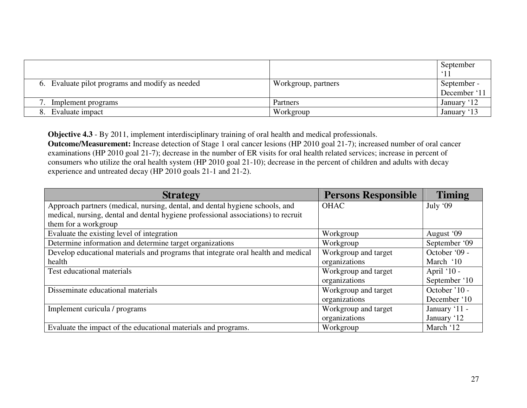|                                                 |                     | September                   |
|-------------------------------------------------|---------------------|-----------------------------|
| 6. Evaluate pilot programs and modify as needed | Workgroup, partners | September -<br>December '11 |
| Implement programs                              | Partners            | January '12                 |
| Evaluate impact                                 | Workgroup           | January '13                 |

**Objective 4.3** - By 2011, implement interdisciplinary training of oral health and medical professionals. **Outcome/Measurement:** Increase detection of Stage 1 oral cancer lesions (HP 2010 goal 21-7); increased number of oral cancer examinations (HP 2010 goal 21-7); decrease in the number of ER visits for oral health related services; increase in percent of consumers who utilize the oral health system (HP 2010 goal 21-10); decrease in the percent of children and adults with decay experience and untreated decay (HP 2010 goals 21-1 and 21-2).

| <b>Strategy</b>                                                                   | <b>Persons Responsible</b> | <b>Timing</b> |
|-----------------------------------------------------------------------------------|----------------------------|---------------|
| Approach partners (medical, nursing, dental, and dental hygiene schools, and      | <b>OHAC</b>                | July '09      |
| medical, nursing, dental and dental hygiene professional associations) to recruit |                            |               |
| them for a workgroup                                                              |                            |               |
| Evaluate the existing level of integration                                        | Workgroup                  | August '09    |
| Determine information and determine target organizations                          | Workgroup                  | September '09 |
| Develop educational materials and programs that integrate oral health and medical | Workgroup and target       | October '09 - |
| health                                                                            | organizations              | March '10     |
| Test educational materials                                                        | Workgroup and target       | April '10 -   |
|                                                                                   | organizations              | September '10 |
| Disseminate educational materials                                                 | Workgroup and target       | October '10 - |
|                                                                                   | organizations              | December '10  |
| Implement curicula / programs                                                     | Workgroup and target       | January '11 - |
|                                                                                   | organizations              | January '12   |
| Evaluate the impact of the educational materials and programs.                    | Workgroup                  | March '12     |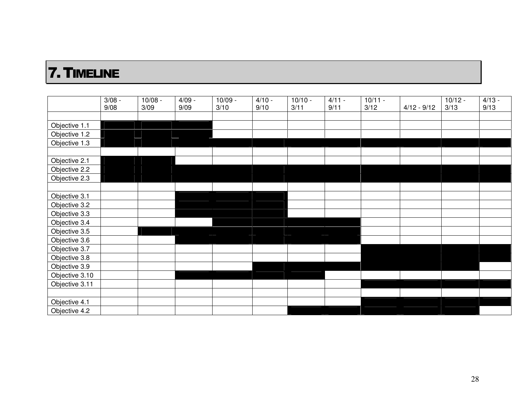# 7.TIMELINE

|                | $3/08 -$ | $10/08 -$ | $4/09 -$ | $10/09 -$ | $4/10 -$ | $10/10 -$ | $4/11 -$ | $10/11 -$ |               | $10/12 -$ | $4/13 -$ |
|----------------|----------|-----------|----------|-----------|----------|-----------|----------|-----------|---------------|-----------|----------|
|                | 9/08     | 3/09      | 9/09     | 3/10      | 9/10     | 3/11      | 9/11     | 3/12      | $4/12 - 9/12$ | 3/13      | 9/13     |
|                |          |           |          |           |          |           |          |           |               |           |          |
| Objective 1.1  |          |           |          |           |          |           |          |           |               |           |          |
| Objective 1.2  |          |           |          |           |          |           |          |           |               |           |          |
| Objective 1.3  |          |           |          |           |          |           |          |           |               |           |          |
|                |          |           |          |           |          |           |          |           |               |           |          |
| Objective 2.1  |          |           |          |           |          |           |          |           |               |           |          |
| Objective 2.2  |          |           |          |           |          |           |          |           |               |           |          |
| Objective 2.3  |          |           |          |           |          |           |          |           |               |           |          |
|                |          |           |          |           |          |           |          |           |               |           |          |
| Objective 3.1  |          |           |          |           |          |           |          |           |               |           |          |
| Objective 3.2  |          |           |          |           |          |           |          |           |               |           |          |
| Objective 3.3  |          |           |          |           |          |           |          |           |               |           |          |
| Objective 3.4  |          |           |          |           |          |           |          |           |               |           |          |
| Objective 3.5  |          |           |          |           |          |           |          |           |               |           |          |
| Objective 3.6  |          |           |          |           |          |           |          |           |               |           |          |
| Objective 3.7  |          |           |          |           |          |           |          |           |               |           |          |
| Objective 3.8  |          |           |          |           |          |           |          |           |               |           |          |
| Objective 3.9  |          |           |          |           |          |           |          |           |               |           |          |
| Objective 3.10 |          |           |          |           |          |           |          |           |               |           |          |
| Objective 3.11 |          |           |          |           |          |           |          |           |               |           |          |
|                |          |           |          |           |          |           |          |           |               |           |          |
| Objective 4.1  |          |           |          |           |          |           |          |           |               |           |          |
| Objective 4.2  |          |           |          |           |          |           |          |           |               |           |          |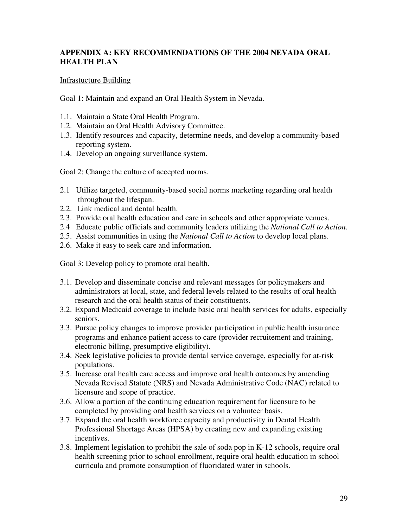## **APPENDIX A: KEY RECOMMENDATIONS OF THE 2004 NEVADA ORAL HEALTH PLAN**

## Infrastucture Building

Goal 1: Maintain and expand an Oral Health System in Nevada.

- 1.1. Maintain a State Oral Health Program.
- 1.2. Maintain an Oral Health Advisory Committee.
- 1.3. Identify resources and capacity, determine needs, and develop a community-based reporting system.
- 1.4. Develop an ongoing surveillance system.

Goal 2: Change the culture of accepted norms.

- 2.1 Utilize targeted, community-based social norms marketing regarding oral health throughout the lifespan.
- 2.2. Link medical and dental health.
- 2.3. Provide oral health education and care in schools and other appropriate venues.
- 2.4 Educate public officials and community leaders utilizing the *National Call to Action*.
- 2.5. Assist communities in using the *National Call to Action* to develop local plans.
- 2.6. Make it easy to seek care and information.

Goal 3: Develop policy to promote oral health.

- 3.1. Develop and disseminate concise and relevant messages for policymakers and administrators at local, state, and federal levels related to the results of oral health research and the oral health status of their constituents.
- 3.2. Expand Medicaid coverage to include basic oral health services for adults, especially seniors.
- 3.3. Pursue policy changes to improve provider participation in public health insurance programs and enhance patient access to care (provider recruitement and training, electronic billing, presumptive eligibility).
- 3.4. Seek legislative policies to provide dental service coverage, especially for at-risk populations.
- 3.5. Increase oral health care access and improve oral health outcomes by amending Nevada Revised Statute (NRS) and Nevada Administrative Code (NAC) related to licensure and scope of practice.
- 3.6. Allow a portion of the continuing education requirement for licensure to be completed by providing oral health services on a volunteer basis.
- 3.7. Expand the oral health workforce capacity and productivity in Dental Health Professional Shortage Areas (HPSA) by creating new and expanding existing incentives.
- 3.8. Implement legislation to prohibit the sale of soda pop in K-12 schools, require oral health screening prior to school enrollment, require oral health education in school curricula and promote consumption of fluoridated water in schools.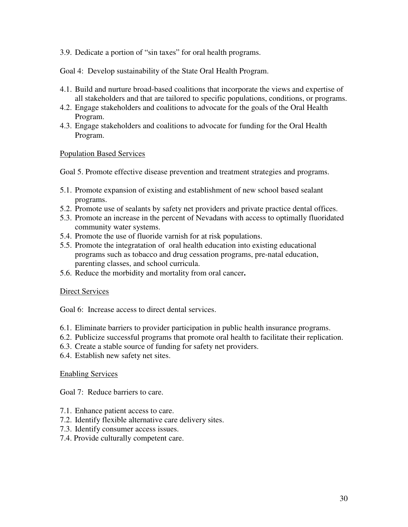3.9. Dedicate a portion of "sin taxes" for oral health programs.

Goal 4: Develop sustainability of the State Oral Health Program.

- 4.1. Build and nurture broad-based coalitions that incorporate the views and expertise of all stakeholders and that are tailored to specific populations, conditions, or programs.
- 4.2. Engage stakeholders and coalitions to advocate for the goals of the Oral Health Program.
- 4.3. Engage stakeholders and coalitions to advocate for funding for the Oral Health Program.

#### Population Based Services

Goal 5. Promote effective disease prevention and treatment strategies and programs.

- 5.1. Promote expansion of existing and establishment of new school based sealant programs.
- 5.2. Promote use of sealants by safety net providers and private practice dental offices.
- 5.3. Promote an increase in the percent of Nevadans with access to optimally fluoridated community water systems.
- 5.4. Promote the use of fluoride varnish for at risk populations.
- 5.5. Promote the integratation of oral health education into existing educational programs such as tobacco and drug cessation programs, pre-natal education, parenting classes, and school curricula.
- 5.6. Reduce the morbidity and mortality from oral cancer**.**

#### Direct Services

Goal 6: Increase access to direct dental services.

- 6.1. Eliminate barriers to provider participation in public health insurance programs.
- 6.2. Publicize successful programs that promote oral health to facilitate their replication.
- 6.3. Create a stable source of funding for safety net providers.
- 6.4. Establish new safety net sites.

#### Enabling Services

Goal 7: Reduce barriers to care.

- 7.1. Enhance patient access to care.
- 7.2. Identify flexible alternative care delivery sites.
- 7.3. Identify consumer access issues.
- 7.4. Provide culturally competent care.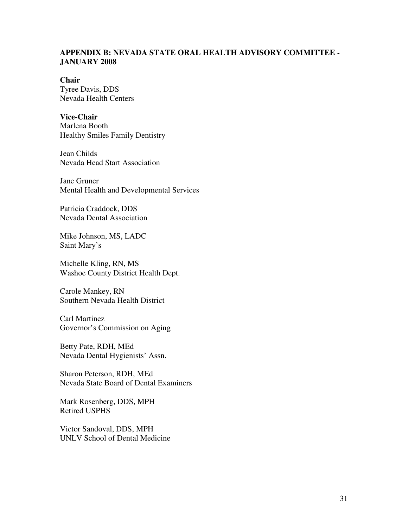### **APPENDIX B: NEVADA STATE ORAL HEALTH ADVISORY COMMITTEE - JANUARY 2008**

#### **Chair**

Tyree Davis, DDS Nevada Health Centers

#### **Vice-Chair**

Marlena Booth Healthy Smiles Family Dentistry

Jean Childs Nevada Head Start Association

Jane Gruner Mental Health and Developmental Services

Patricia Craddock, DDS Nevada Dental Association

Mike Johnson, MS, LADC Saint Mary's

Michelle Kling, RN, MS Washoe County District Health Dept.

Carole Mankey, RN Southern Nevada Health District

Carl Martinez Governor's Commission on Aging

Betty Pate, RDH, MEd Nevada Dental Hygienists' Assn.

Sharon Peterson, RDH, MEd Nevada State Board of Dental Examiners

Mark Rosenberg, DDS, MPH Retired USPHS

Victor Sandoval, DDS, MPH UNLV School of Dental Medicine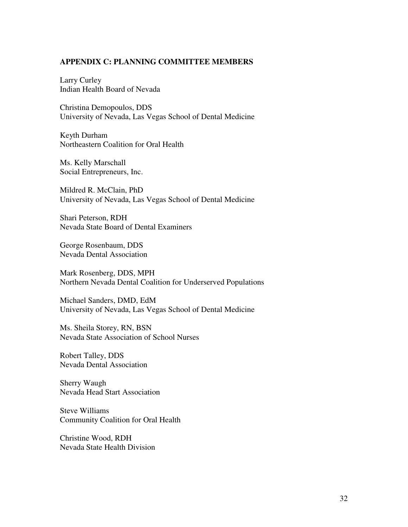#### **APPENDIX C: PLANNING COMMITTEE MEMBERS**

Larry Curley Indian Health Board of Nevada

Christina Demopoulos, DDS University of Nevada, Las Vegas School of Dental Medicine

Keyth Durham Northeastern Coalition for Oral Health

Ms. Kelly Marschall Social Entrepreneurs, Inc.

Mildred R. McClain, PhD University of Nevada, Las Vegas School of Dental Medicine

Shari Peterson, RDH Nevada State Board of Dental Examiners

George Rosenbaum, DDS Nevada Dental Association

Mark Rosenberg, DDS, MPH Northern Nevada Dental Coalition for Underserved Populations

Michael Sanders, DMD, EdM University of Nevada, Las Vegas School of Dental Medicine

Ms. Sheila Storey, RN, BSN Nevada State Association of School Nurses

Robert Talley, DDS Nevada Dental Association

Sherry Waugh Nevada Head Start Association

Steve Williams Community Coalition for Oral Health

Christine Wood, RDH Nevada State Health Division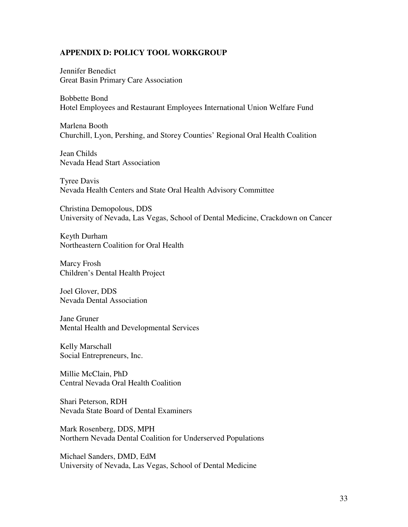#### **APPENDIX D: POLICY TOOL WORKGROUP**

Jennifer Benedict Great Basin Primary Care Association

Bobbette Bond Hotel Employees and Restaurant Employees International Union Welfare Fund

Marlena Booth Churchill, Lyon, Pershing, and Storey Counties' Regional Oral Health Coalition

Jean Childs Nevada Head Start Association

Tyree Davis Nevada Health Centers and State Oral Health Advisory Committee

Christina Demopolous, DDS University of Nevada, Las Vegas, School of Dental Medicine, Crackdown on Cancer

Keyth Durham Northeastern Coalition for Oral Health

Marcy Frosh Children's Dental Health Project

Joel Glover, DDS Nevada Dental Association

Jane Gruner Mental Health and Developmental Services

Kelly Marschall Social Entrepreneurs, Inc.

Millie McClain, PhD Central Nevada Oral Health Coalition

Shari Peterson, RDH Nevada State Board of Dental Examiners

Mark Rosenberg, DDS, MPH Northern Nevada Dental Coalition for Underserved Populations

Michael Sanders, DMD, EdM University of Nevada, Las Vegas, School of Dental Medicine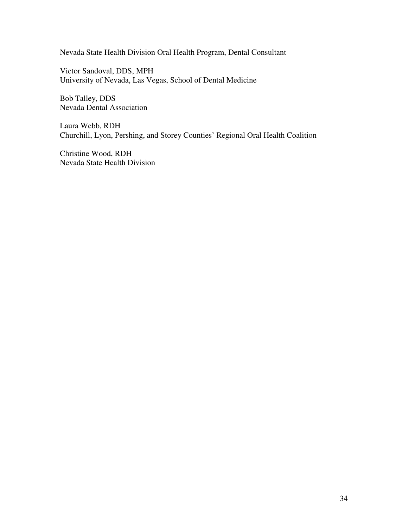Nevada State Health Division Oral Health Program, Dental Consultant

Victor Sandoval, DDS, MPH University of Nevada, Las Vegas, School of Dental Medicine

Bob Talley, DDS Nevada Dental Association

Laura Webb, RDH Churchill, Lyon, Pershing, and Storey Counties' Regional Oral Health Coalition

Christine Wood, RDH Nevada State Health Division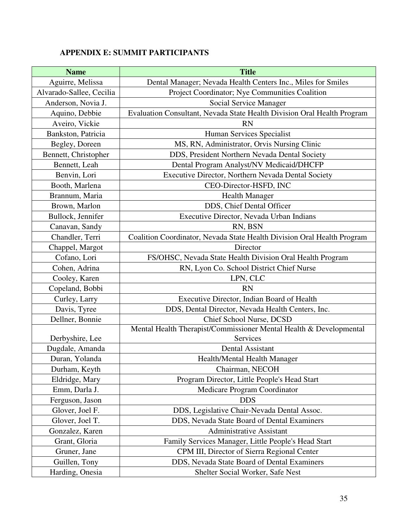## **APPENDIX E: SUMMIT PARTICIPANTS**

| <b>Name</b>                                                 | <b>Title</b>                                                            |  |
|-------------------------------------------------------------|-------------------------------------------------------------------------|--|
| Aguirre, Melissa                                            | Dental Manager; Nevada Health Centers Inc., Miles for Smiles            |  |
| Alvarado-Sallee, Cecilia                                    | Project Coordinator; Nye Communities Coalition                          |  |
| Anderson, Novia J.                                          | Social Service Manager                                                  |  |
| Aquino, Debbie                                              | Evaluation Consultant, Nevada State Health Division Oral Health Program |  |
| Aveiro, Vickie                                              | <b>RN</b>                                                               |  |
| Bankston, Patricia                                          | Human Services Specialist                                               |  |
| Begley, Doreen                                              | MS, RN, Administrator, Orvis Nursing Clinic                             |  |
| Bennett, Christopher                                        | DDS, President Northern Nevada Dental Society                           |  |
| Bennett, Leah                                               | Dental Program Analyst/NV Medicaid/DHCFP                                |  |
| Benvin, Lori                                                | Executive Director, Northern Nevada Dental Society                      |  |
| Booth, Marlena                                              | CEO-Director-HSFD, INC                                                  |  |
| Brannum, Maria                                              | <b>Health Manager</b>                                                   |  |
| Brown, Marlon                                               | DDS, Chief Dental Officer                                               |  |
| Bullock, Jennifer                                           | Executive Director, Nevada Urban Indians                                |  |
| Canavan, Sandy                                              | RN, BSN                                                                 |  |
| Chandler, Terri                                             | Coalition Coordinator, Nevada State Health Division Oral Health Program |  |
| Chappel, Margot                                             | Director                                                                |  |
| Cofano, Lori                                                | FS/OHSC, Nevada State Health Division Oral Health Program               |  |
| Cohen, Adrina<br>RN, Lyon Co. School District Chief Nurse   |                                                                         |  |
| Cooley, Karen                                               | LPN, CLC                                                                |  |
| Copeland, Bobbi<br><b>RN</b>                                |                                                                         |  |
| Executive Director, Indian Board of Health<br>Curley, Larry |                                                                         |  |
| Davis, Tyree                                                | DDS, Dental Director, Nevada Health Centers, Inc.                       |  |
| Dellner, Bonnie                                             | Chief School Nurse, DCSD                                                |  |
|                                                             | Mental Health Therapist/Commissioner Mental Health & Developmental      |  |
| Derbyshire, Lee                                             | Services                                                                |  |
| Dugdale, Amanda                                             | Dental Assistant                                                        |  |
| Duran, Yolanda                                              | Health/Mental Health Manager                                            |  |
| Durham, Keyth                                               | Chairman, NECOH                                                         |  |
| Eldridge, Mary                                              | Program Director, Little People's Head Start                            |  |
| Emm, Darla J.                                               | Medicare Program Coordinator                                            |  |
| Ferguson, Jason                                             | <b>DDS</b>                                                              |  |
| Glover, Joel F.                                             | DDS, Legislative Chair-Nevada Dental Assoc.                             |  |
| Glover, Joel T.                                             | DDS, Nevada State Board of Dental Examiners                             |  |
| Gonzalez, Karen                                             | <b>Administrative Assistant</b>                                         |  |
| Grant, Gloria                                               | Family Services Manager, Little People's Head Start                     |  |
| Gruner, Jane                                                | CPM III, Director of Sierra Regional Center                             |  |
| Guillen, Tony                                               | DDS, Nevada State Board of Dental Examiners                             |  |
| Harding, Onesia<br>Shelter Social Worker, Safe Nest         |                                                                         |  |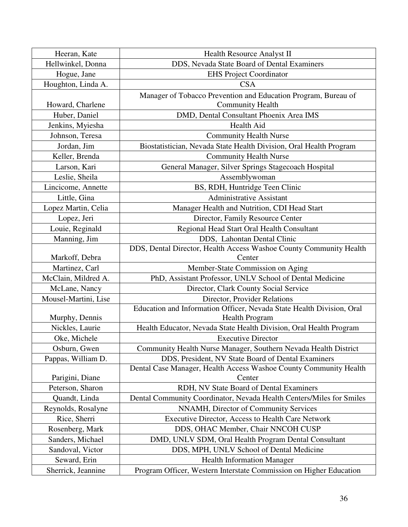| Heeran, Kate         | Health Resource Analyst II                                                                                              |
|----------------------|-------------------------------------------------------------------------------------------------------------------------|
| Hellwinkel, Donna    | DDS, Nevada State Board of Dental Examiners                                                                             |
| Hogue, Jane          | <b>EHS Project Coordinator</b>                                                                                          |
| Houghton, Linda A.   | <b>CSA</b>                                                                                                              |
|                      | Manager of Tobacco Prevention and Education Program, Bureau of                                                          |
| Howard, Charlene     | <b>Community Health</b>                                                                                                 |
| Huber, Daniel        | DMD, Dental Consultant Phoenix Area IMS                                                                                 |
| Jenkins, Myiesha     | Health Aid                                                                                                              |
| Johnson, Teresa      | <b>Community Health Nurse</b>                                                                                           |
| Jordan, Jim          | Biostatistician, Nevada State Health Division, Oral Health Program                                                      |
| Keller, Brenda       | <b>Community Health Nurse</b>                                                                                           |
| Larson, Kari         | General Manager, Silver Springs Stagecoach Hospital                                                                     |
| Leslie, Sheila       | Assemblywoman                                                                                                           |
| Lincicome, Annette   | BS, RDH, Huntridge Teen Clinic                                                                                          |
| Little, Gina         | <b>Administrative Assistant</b>                                                                                         |
| Lopez Martin, Celia  | Manager Health and Nutrition, CDI Head Start                                                                            |
| Lopez, Jeri          | Director, Family Resource Center                                                                                        |
| Louie, Reginald      | Regional Head Start Oral Health Consultant                                                                              |
| Manning, Jim         | DDS, Lahontan Dental Clinic                                                                                             |
|                      | DDS, Dental Director, Health Access Washoe County Community Health                                                      |
| Markoff, Debra       | Center                                                                                                                  |
| Martinez, Carl       | Member-State Commission on Aging                                                                                        |
| McClain, Mildred A.  | PhD, Assistant Professor, UNLV School of Dental Medicine                                                                |
| McLane, Nancy        | Director, Clark County Social Service                                                                                   |
| Mousel-Martini, Lise | Director, Provider Relations                                                                                            |
|                      | Education and Information Officer, Nevada State Health Division, Oral                                                   |
| Murphy, Dennis       | Health Program                                                                                                          |
| Nickles, Laurie      | Health Educator, Nevada State Health Division, Oral Health Program                                                      |
| Oke, Michele         | <b>Executive Director</b>                                                                                               |
| Osburn, Gwen         | Community Health Nurse Manager, Southern Nevada Health District                                                         |
| Pappas, William D.   | DDS, President, NV State Board of Dental Examiners<br>Dental Case Manager, Health Access Washoe County Community Health |
| Parigini, Diane      | Center                                                                                                                  |
| Peterson, Sharon     | RDH, NV State Board of Dental Examiners                                                                                 |
| Quandt, Linda        | Dental Community Coordinator, Nevada Health Centers/Miles for Smiles                                                    |
| Reynolds, Rosalyne   | NNAMH, Director of Community Services                                                                                   |
| Rice, Sherri         | Executive Director, Access to Health Care Network                                                                       |
| Rosenberg, Mark      | DDS, OHAC Member, Chair NNCOH CUSP                                                                                      |
| Sanders, Michael     | DMD, UNLV SDM, Oral Health Program Dental Consultant                                                                    |
| Sandoval, Victor     | DDS, MPH, UNLV School of Dental Medicine                                                                                |
| Seward, Erin         | <b>Health Information Manager</b>                                                                                       |
| Sherrick, Jeannine   | Program Officer, Western Interstate Commission on Higher Education                                                      |
|                      |                                                                                                                         |